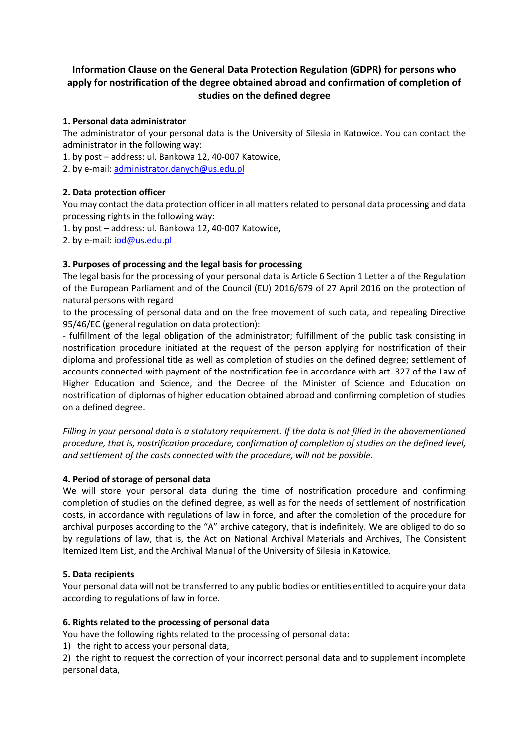# **Information Clause on the General Data Protection Regulation (GDPR) for persons who apply for nostrification of the degree obtained abroad and confirmation of completion of studies on the defined degree**

## **1. Personal data administrator**

The administrator of your personal data is the University of Silesia in Katowice. You can contact the administrator in the following way:

1. by post – address: ul. Bankowa 12, 40-007 Katowice,

2. by e-mail: [administrator.danych@us.edu.pl](mailto:administrator.danych@us.edu.pl)

# **2. Data protection officer**

You may contact the data protection officer in all matters related to personal data processing and data processing rights in the following way:

1. by post – address: ul. Bankowa 12, 40-007 Katowice,

2. by e-mail: [iod@us.edu.pl](mailto:iod@us.edu.pl)

### **3. Purposes of processing and the legal basis for processing**

The legal basis for the processing of your personal data is Article 6 Section 1 Letter a of the Regulation of the European Parliament and of the Council (EU) 2016/679 of 27 April 2016 on the protection of natural persons with regard

to the processing of personal data and on the free movement of such data, and repealing Directive 95/46/EC (general regulation on data protection):

- fulfillment of the legal obligation of the administrator; fulfillment of the public task consisting in nostrification procedure initiated at the request of the person applying for nostrification of their diploma and professional title as well as completion of studies on the defined degree; settlement of accounts connected with payment of the nostrification fee in accordance with art. 327 of the Law of Higher Education and Science, and the Decree of the Minister of Science and Education on nostrification of diplomas of higher education obtained abroad and confirming completion of studies on a defined degree.

*Filling in your personal data is a statutory requirement. If the data is not filled in the abovementioned procedure, that is, nostrification procedure, confirmation of completion of studies on the defined level, and settlement of the costs connected with the procedure, will not be possible.* 

# **4. Period of storage of personal data**

We will store your personal data during the time of nostrification procedure and confirming completion of studies on the defined degree, as well as for the needs of settlement of nostrification costs, in accordance with regulations of law in force, and after the completion of the procedure for archival purposes according to the "A" archive category, that is indefinitely. We are obliged to do so by regulations of law, that is, the Act on National Archival Materials and Archives, The Consistent Itemized Item List, and the Archival Manual of the University of Silesia in Katowice.

#### **5. Data recipients**

Your personal data will not be transferred to any public bodies or entities entitled to acquire your data according to regulations of law in force.

#### **6. Rights related to the processing of personal data**

You have the following rights related to the processing of personal data:

1) the right to access your personal data,

2) the right to request the correction of your incorrect personal data and to supplement incomplete personal data,